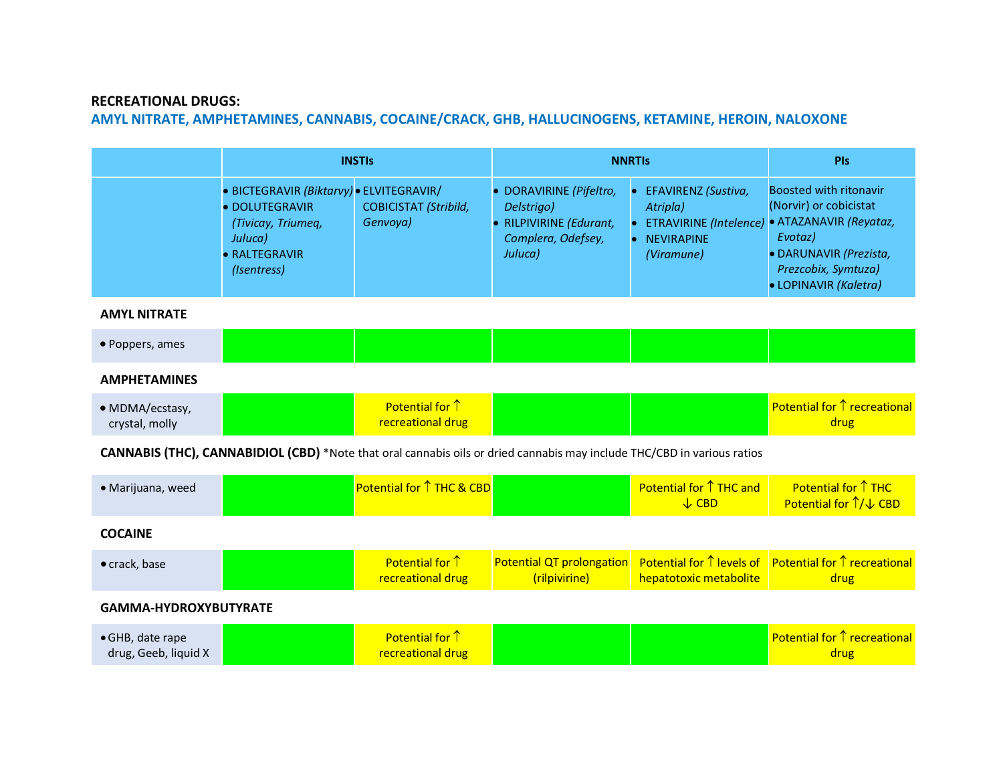## **RECREATIONAL DRUGS:**

## **AMYL NITRATE, AMPHETAMINES, CANNABIS, COCAINE/CRACK, GHB, HALLUCINOGENS, KETAMINE, HEROIN, NALOXONE**

|                                                                                                                         | <b>INSTIS</b>                                                                                                               |                                          | <b>NNRTIS</b>                                                                                     |                                                                    | PIs                                                                                                                                                                                           |  |
|-------------------------------------------------------------------------------------------------------------------------|-----------------------------------------------------------------------------------------------------------------------------|------------------------------------------|---------------------------------------------------------------------------------------------------|--------------------------------------------------------------------|-----------------------------------------------------------------------------------------------------------------------------------------------------------------------------------------------|--|
|                                                                                                                         | • BICTEGRAVIR (Biktarvy) • ELVITEGRAVIR/<br>· DOLUTEGRAVIR<br>(Tivicay, Triumeq,<br>Juluca)<br>· RALTEGRAVIR<br>(Isentress) | <b>COBICISTAT (Stribild,</b><br>Genvoya) | · DORAVIRINE (Pifeltro,<br>Delstrigo)<br>• RILPIVIRINE (Edurant,<br>Complera, Odefsey,<br>Juluca) | EFAVIRENZ (Sustiva,<br>Atripla)<br><b>NEVIRAPINE</b><br>(Viramune) | <b>Boosted with ritonavir</b><br>(Norvir) or cobicistat<br>ETRAVIRINE (Intelence) · ATAZANAVIR (Reyataz,<br>Evotaz)<br>· DARUNAVIR (Prezista,<br>Prezcobix, Symtuza)<br>· LOPINAVIR (Kaletra) |  |
| <b>AMYL NITRATE</b>                                                                                                     |                                                                                                                             |                                          |                                                                                                   |                                                                    |                                                                                                                                                                                               |  |
| • Poppers, ames                                                                                                         |                                                                                                                             |                                          |                                                                                                   |                                                                    |                                                                                                                                                                                               |  |
| <b>AMPHETAMINES</b>                                                                                                     |                                                                                                                             |                                          |                                                                                                   |                                                                    |                                                                                                                                                                                               |  |
| · MDMA/ecstasy,<br>crystal, molly                                                                                       |                                                                                                                             | Potential for 1<br>recreational drug     |                                                                                                   |                                                                    | Potential for 1 recreational<br>drug                                                                                                                                                          |  |
| CANNABIS (THC), CANNABIDIOL (CBD) *Note that oral cannabis oils or dried cannabis may include THC/CBD in various ratios |                                                                                                                             |                                          |                                                                                                   |                                                                    |                                                                                                                                                                                               |  |
| · Marijuana, weed                                                                                                       |                                                                                                                             | Potential for ↑ THC & CBD                |                                                                                                   | <b>Potential for ↑ THC and</b><br>$\sqrt{\phantom{a}}$ CBD         | Potential for $\uparrow$ THC<br>Potential for 1/ ↓ CBD                                                                                                                                        |  |
| <b>COCAINE</b>                                                                                                          |                                                                                                                             |                                          |                                                                                                   |                                                                    |                                                                                                                                                                                               |  |
| · crack, base                                                                                                           |                                                                                                                             | Potential for 1<br>recreational drug     | Potential QT prolongation<br>(rilpivirine)                                                        | <b>Potential for ↑ levels of</b><br>hepatotoxic metabolite         | <b>Potential for ↑ recreational</b><br>drug                                                                                                                                                   |  |
| <b>GAMMA-HYDROXYBUTYRATE</b>                                                                                            |                                                                                                                             |                                          |                                                                                                   |                                                                    |                                                                                                                                                                                               |  |
| · GHB, date rape<br>drug, Geeb, liquid X                                                                                |                                                                                                                             | Potential for 1<br>recreational drug     |                                                                                                   |                                                                    | <b>Potential for ↑ recreational</b><br>drug                                                                                                                                                   |  |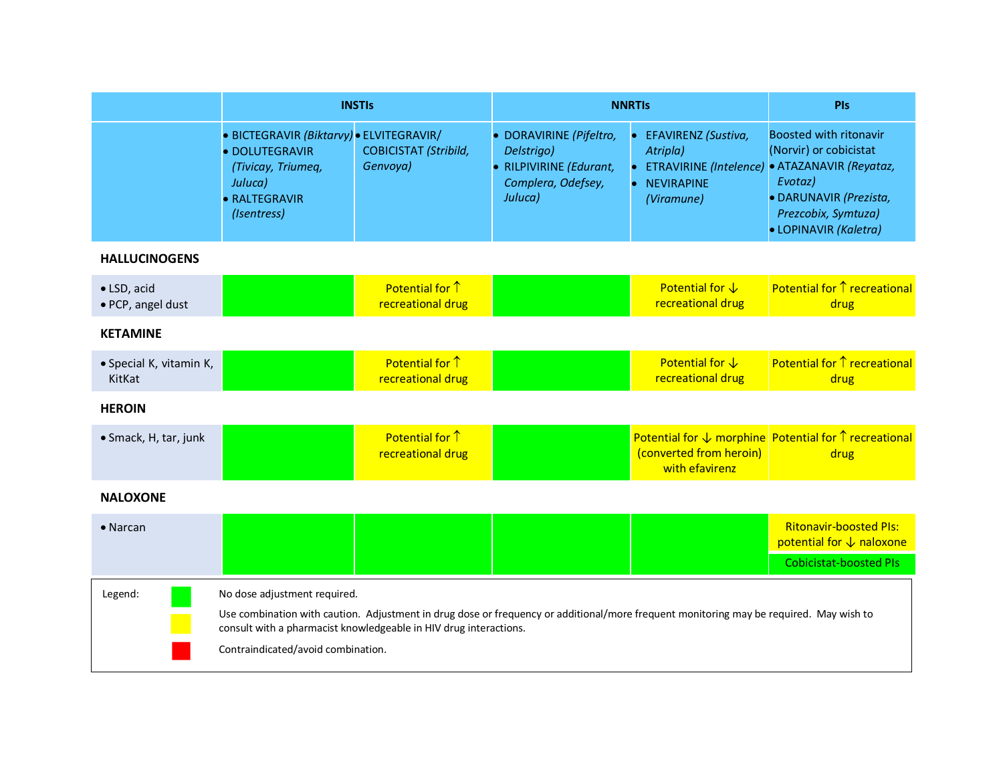|                                   | <b>INSTIS</b>                                                                                                               |                                                                   | <b>NNRTIS</b>                                                                                     | PIs                                                                                                                                    |                                                                                                                                                                        |
|-----------------------------------|-----------------------------------------------------------------------------------------------------------------------------|-------------------------------------------------------------------|---------------------------------------------------------------------------------------------------|----------------------------------------------------------------------------------------------------------------------------------------|------------------------------------------------------------------------------------------------------------------------------------------------------------------------|
|                                   | • BICTEGRAVIR (Biktarvy) • ELVITEGRAVIR/<br>· DOLUTEGRAVIR<br>(Tivicay, Triumeq,<br>Juluca)<br>· RALTEGRAVIR<br>(Isentress) | <b>COBICISTAT (Stribild,</b><br>Genvoya)                          | · DORAVIRINE (Pifeltro,<br>Delstrigo)<br>• RILPIVIRINE (Edurant,<br>Complera, Odefsey,<br>Juluca) | EFAVIRENZ (Sustiva,<br>Atripla)<br><b>ETRAVIRINE</b> (Intelence)<br><b>NEVIRAPINE</b><br>$\bullet$<br>(Viramune)                       | <b>Boosted with ritonavir</b><br>(Norvir) or cobicistat<br>· ATAZANAVIR (Reyataz,<br>Evotaz)<br>· DARUNAVIR (Prezista,<br>Prezcobix, Symtuza)<br>· LOPINAVIR (Kaletra) |
| <b>HALLUCINOGENS</b>              |                                                                                                                             |                                                                   |                                                                                                   |                                                                                                                                        |                                                                                                                                                                        |
| · LSD, acid<br>· PCP, angel dust  |                                                                                                                             | Potential for 1<br>recreational drug                              |                                                                                                   | Potential for $\downarrow$<br>recreational drug                                                                                        | <b>Potential for ↑ recreational</b><br>drug                                                                                                                            |
| <b>KETAMINE</b>                   |                                                                                                                             |                                                                   |                                                                                                   |                                                                                                                                        |                                                                                                                                                                        |
| · Special K, vitamin K,<br>KitKat |                                                                                                                             | Potential for 1<br>recreational drug                              |                                                                                                   | Potential for $\downarrow$<br>recreational drug                                                                                        | <b>Potential for ↑ recreational</b><br>drug                                                                                                                            |
| <b>HEROIN</b>                     |                                                                                                                             |                                                                   |                                                                                                   |                                                                                                                                        |                                                                                                                                                                        |
| • Smack, H, tar, junk             |                                                                                                                             | Potential for $\uparrow$<br>recreational drug                     |                                                                                                   | (converted from heroin)<br>with efavirenz                                                                                              | Potential for $\downarrow$ morphine Potential for $\uparrow$ recreational<br>drug                                                                                      |
| <b>NALOXONE</b>                   |                                                                                                                             |                                                                   |                                                                                                   |                                                                                                                                        |                                                                                                                                                                        |
| $\bullet$ Narcan                  |                                                                                                                             |                                                                   |                                                                                                   |                                                                                                                                        | <b>Ritonavir-boosted Pls:</b><br>potential for ↓ naloxone                                                                                                              |
|                                   |                                                                                                                             |                                                                   |                                                                                                   |                                                                                                                                        | <b>Cobicistat-boosted PIs</b>                                                                                                                                          |
| Legend:                           | No dose adjustment required.<br>Contraindicated/avoid combination.                                                          | consult with a pharmacist knowledgeable in HIV drug interactions. |                                                                                                   | Use combination with caution. Adjustment in drug dose or frequency or additional/more frequent monitoring may be required. May wish to |                                                                                                                                                                        |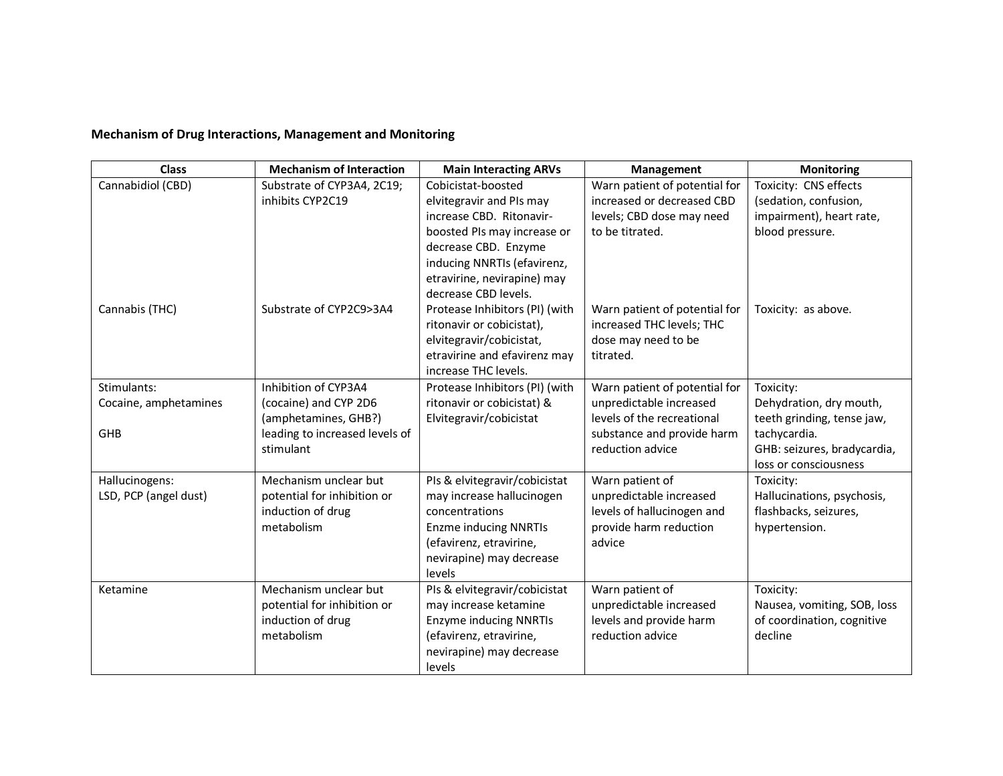## **Mechanism of Drug Interactions, Management and Monitoring**

| <b>Class</b>                            | <b>Mechanism of Interaction</b>                  | <b>Main Interacting ARVs</b>   | Management                    | <b>Monitoring</b>                                   |
|-----------------------------------------|--------------------------------------------------|--------------------------------|-------------------------------|-----------------------------------------------------|
| Cannabidiol (CBD)                       | Substrate of CYP3A4, 2C19;                       | Cobicistat-boosted             | Warn patient of potential for | Toxicity: CNS effects                               |
|                                         | inhibits CYP2C19                                 | elvitegravir and PIs may       | increased or decreased CBD    | (sedation, confusion,                               |
|                                         |                                                  | increase CBD. Ritonavir-       | levels; CBD dose may need     | impairment), heart rate,                            |
|                                         |                                                  | boosted PIs may increase or    | to be titrated.               | blood pressure.                                     |
|                                         |                                                  | decrease CBD. Enzyme           |                               |                                                     |
|                                         |                                                  | inducing NNRTIs (efavirenz,    |                               |                                                     |
|                                         |                                                  | etravirine, nevirapine) may    |                               |                                                     |
|                                         |                                                  | decrease CBD levels.           |                               |                                                     |
| Cannabis (THC)                          | Substrate of CYP2C9>3A4                          | Protease Inhibitors (PI) (with | Warn patient of potential for | Toxicity: as above.                                 |
|                                         |                                                  | ritonavir or cobicistat),      | increased THC levels; THC     |                                                     |
|                                         |                                                  | elvitegravir/cobicistat,       | dose may need to be           |                                                     |
|                                         |                                                  | etravirine and efavirenz may   | titrated.                     |                                                     |
|                                         |                                                  | increase THC levels.           |                               |                                                     |
| Stimulants:                             | Inhibition of CYP3A4                             | Protease Inhibitors (PI) (with | Warn patient of potential for | Toxicity:                                           |
| Cocaine, amphetamines                   | (cocaine) and CYP 2D6                            | ritonavir or cobicistat) &     | unpredictable increased       | Dehydration, dry mouth,                             |
|                                         | (amphetamines, GHB?)                             | Elvitegravir/cobicistat        | levels of the recreational    | teeth grinding, tense jaw,                          |
| GHB                                     | leading to increased levels of                   |                                | substance and provide harm    | tachycardia.                                        |
|                                         | stimulant                                        |                                | reduction advice              | GHB: seizures, bradycardia,                         |
|                                         | Mechanism unclear but                            | PIs & elvitegravir/cobicistat  | Warn patient of               | loss or consciousness<br>Toxicity:                  |
| Hallucinogens:<br>LSD, PCP (angel dust) |                                                  | may increase hallucinogen      | unpredictable increased       |                                                     |
|                                         | potential for inhibition or<br>induction of drug | concentrations                 | levels of hallucinogen and    | Hallucinations, psychosis,<br>flashbacks, seizures, |
|                                         | metabolism                                       | <b>Enzme inducing NNRTIs</b>   | provide harm reduction        | hypertension.                                       |
|                                         |                                                  | (efavirenz, etravirine,        | advice                        |                                                     |
|                                         |                                                  | nevirapine) may decrease       |                               |                                                     |
|                                         |                                                  | levels                         |                               |                                                     |
| Ketamine                                | Mechanism unclear but                            | PIs & elvitegravir/cobicistat  | Warn patient of               | Toxicity:                                           |
|                                         | potential for inhibition or                      | may increase ketamine          | unpredictable increased       | Nausea, vomiting, SOB, loss                         |
|                                         | induction of drug                                | <b>Enzyme inducing NNRTIs</b>  | levels and provide harm       | of coordination, cognitive                          |
|                                         | metabolism                                       | (efavirenz, etravirine,        | reduction advice              | decline                                             |
|                                         |                                                  | nevirapine) may decrease       |                               |                                                     |
|                                         |                                                  | levels                         |                               |                                                     |